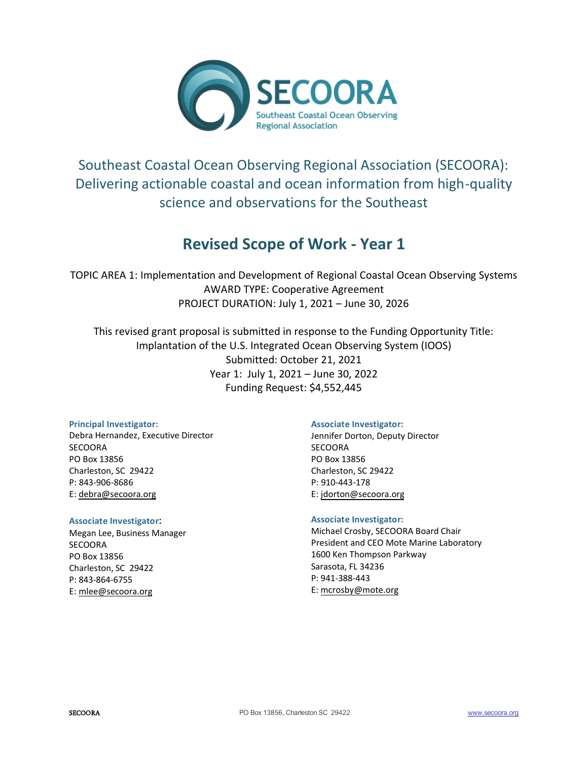

Southeast Coastal Ocean Observing Regional Association (SECOORA): Delivering actionable coastal and ocean information from high-quality science and observations for the Southeast

# **Revised Scope of Work - Year 1**

TOPIC AREA 1: Implementation and Development of Regional Coastal Ocean Observing Systems AWARD TYPE: Cooperative Agreement PROJECT DURATION: July 1, 2021 – June 30, 2026

This revised grant proposal is submitted in response to the Funding Opportunity Title: Implantation of the U.S. Integrated Ocean Observing System (IOOS) Submitted: October 21, 2021 Year 1: July 1, 2021 – June 30, 2022 Funding Request: \$4,552,445

#### **Principal Investigator:**

Debra Hernandez, Executive Director SECOORA PO Box 13856 Charleston, SC 29422 P: 843-906-8686 E: [debra@secoora.org](mailto:susannah@secoora.org)

#### **Associate Investigator**:

Megan Lee, Business Manager SECOORA PO Box 13856 Charleston, SC 29422 P: 843-864-6755 E[: mlee@secoora.org](mailto:mlee@secoora.org)

#### **Associate Investigator:**

Jennifer Dorton, Deputy Director SECOORA PO Box 13856 Charleston, SC 29422 P: 910-443-178 E: jdorton@secoora.org

#### **Associate Investigator:**

Michael Crosby, SECOORA Board Chair President and CEO Mote Marine Laboratory 1600 Ken Thompson Parkway Sarasota, FL 34236 P: 941-388-443 E: mcrosby@mote.org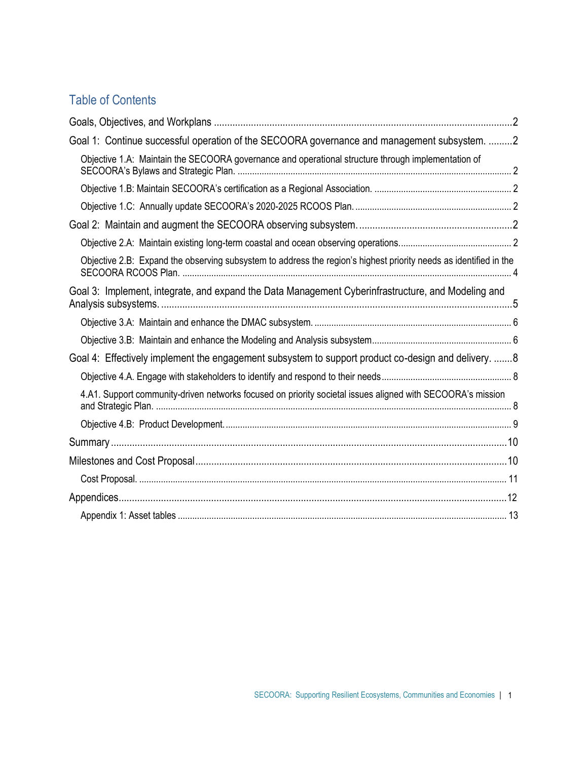# Table of Contents

| Goal 1: Continue successful operation of the SECOORA governance and management subsystem. 2                       |  |
|-------------------------------------------------------------------------------------------------------------------|--|
| Objective 1.A: Maintain the SECOORA governance and operational structure through implementation of                |  |
|                                                                                                                   |  |
|                                                                                                                   |  |
|                                                                                                                   |  |
|                                                                                                                   |  |
| Objective 2.B: Expand the observing subsystem to address the region's highest priority needs as identified in the |  |
| Goal 3: Implement, integrate, and expand the Data Management Cyberinfrastructure, and Modeling and                |  |
|                                                                                                                   |  |
|                                                                                                                   |  |
| Goal 4: Effectively implement the engagement subsystem to support product co-design and delivery.  8              |  |
|                                                                                                                   |  |
| 4.A1. Support community-driven networks focused on priority societal issues aligned with SECOORA's mission        |  |
|                                                                                                                   |  |
|                                                                                                                   |  |
|                                                                                                                   |  |
|                                                                                                                   |  |
|                                                                                                                   |  |
|                                                                                                                   |  |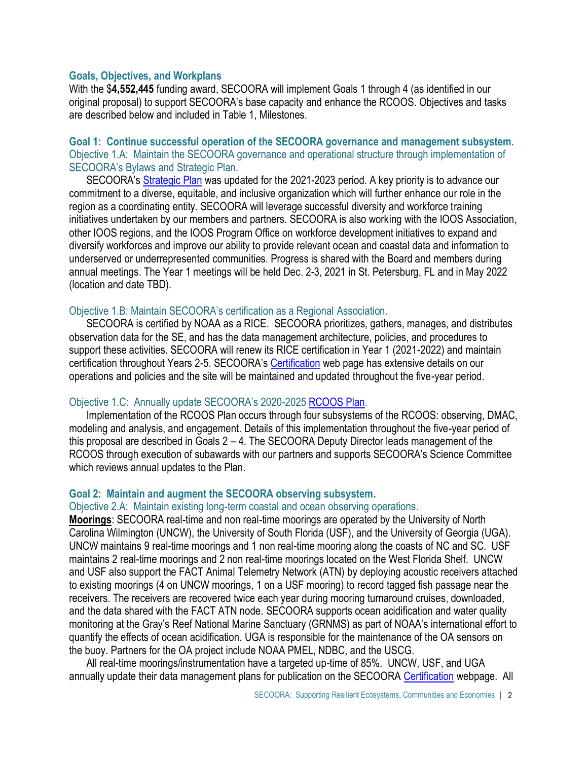#### **Goals, Objectives, and Workplans**

With the \$**4,552,445** funding award, SECOORA will implement Goals 1 through 4 (as identified in our original proposal) to support SECOORA's base capacity and enhance the RCOOS. Objectives and tasks are described below and included in Table 1, Milestones.

#### **Goal 1: Continue successful operation of the SECOORA governance and management subsystem.**  Objective 1.A: Maintain the SECOORA governance and operational structure through implementation of SECOORA's Bylaws and Strategic Plan.

SECOORA's [Strategic Plan](https://secoora.org/about/strategic-plan/) was updated for the 2021-2023 period. A key priority is to advance our commitment to a diverse, equitable, and inclusive organization which will further enhance our role in the region as a coordinating entity. SECOORA will leverage successful diversity and workforce training initiatives undertaken by our members and partners. SECOORA is also working with the IOOS Association, other IOOS regions, and the IOOS Program Office on workforce development initiatives to expand and diversify workforces and improve our ability to provide relevant ocean and coastal data and information to underserved or underrepresented communities. Progress is shared with the Board and members during annual meetings. The Year 1 meetings will be held Dec. 2-3, 2021 in St. Petersburg, FL and in May 2022 (location and date TBD).

#### Objective 1.B: Maintain SECOORA's certification as a Regional Association.

SECOORA is certified by NOAA as a RICE. SECOORA prioritizes, gathers, manages, and distributes observation data for the SE, and has the data management architecture, policies, and procedures to support these activities. SECOORA will renew its RICE certification in Year 1 (2021-2022) and maintain certification throughout Years 2-5. SECOORA's [Certification](https://secoora.org/certification/) web page has extensive details on our operations and policies and the site will be maintained and updated throughout the five-year period.

#### Objective 1.C: Annually update SECOORA's 2020-202[5 RCOOS Plan.](http://secoora.org/wp-content/uploads/2020/01/Strategic_RCOOS-Priorities_2019_FINAL.pdf)

Implementation of the RCOOS Plan occurs through four subsystems of the RCOOS: observing, DMAC, modeling and analysis, and engagement. Details of this implementation throughout the five-year period of this proposal are described in Goals 2 – 4. The SECOORA Deputy Director leads management of the RCOOS through execution of subawards with our partners and supports SECOORA's Science Committee which reviews annual updates to the Plan.

#### **Goal 2: Maintain and augment the SECOORA observing subsystem.**

#### Objective 2.A: Maintain existing long-term coastal and ocean observing operations.

**Moorings**: SECOORA real-time and non real-time moorings are operated by the University of North Carolina Wilmington (UNCW), the University of South Florida (USF), and the University of Georgia (UGA). UNCW maintains 9 real-time moorings and 1 non real-time mooring along the coasts of NC and SC. USF maintains 2 real-time moorings and 2 non real-time moorings located on the West Florida Shelf. UNCW and USF also support the FACT Animal Telemetry Network (ATN) by deploying acoustic receivers attached to existing moorings (4 on UNCW moorings, 1 on a USF mooring) to record tagged fish passage near the receivers. The receivers are recovered twice each year during mooring turnaround cruises, downloaded, and the data shared with the FACT ATN node. SECOORA supports ocean acidification and water quality monitoring at the Gray's Reef National Marine Sanctuary (GRNMS) as part of NOAA's international effort to quantify the effects of ocean acidification. UGA is responsible for the maintenance of the OA sensors on the buoy. Partners for the OA project include NOAA PMEL, NDBC, and the USCG.

All real-time moorings/instrumentation have a targeted up-time of 85%. UNCW, USF, and UGA annually update their data management plans for publication on the SECOORA [Certification](https://secoora.org/wp-content/uploads/2020/12/F-APPENDIX_F_FundedDataStreamsInventory.pdf) webpage. All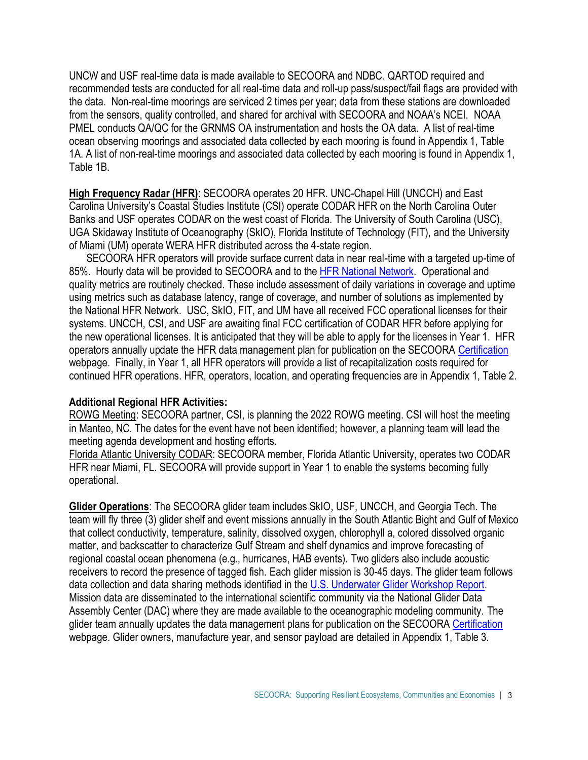UNCW and USF real-time data is made available to SECOORA and NDBC. QARTOD required and recommended tests are conducted for all real-time data and roll-up pass/suspect/fail flags are provided with the data. Non-real-time moorings are serviced 2 times per year; data from these stations are downloaded from the sensors, quality controlled, and shared for archival with SECOORA and NOAA's NCEI. NOAA PMEL conducts QA/QC for the GRNMS OA instrumentation and hosts the OA data. A list of real-time ocean observing moorings and associated data collected by each mooring is found in Appendix 1, Table 1A. A list of non-real-time moorings and associated data collected by each mooring is found in Appendix 1, Table 1B.

**High Frequency Radar (HFR)**: SECOORA operates 20 HFR. UNC-Chapel Hill (UNCCH) and East Carolina University's Coastal Studies Institute (CSI) operate CODAR HFR on the North Carolina Outer Banks and USF operates CODAR on the west coast of Florida. The University of South Carolina (USC), UGA Skidaway Institute of Oceanography (SkIO), Florida Institute of Technology (FIT), and the University of Miami (UM) operate WERA HFR distributed across the 4-state region.

SECOORA HFR operators will provide surface current data in near real-time with a targeted up-time of 85%. Hourly data will be provided to SECOORA and to the [HFR National Network.](https://cordc.ucsd.edu/projects/mapping/) Operational and quality metrics are routinely checked. These include assessment of daily variations in coverage and uptime using metrics such as database latency, range of coverage, and number of solutions as implemented by the National HFR Network. USC, SkIO, FIT, and UM have all received FCC operational licenses for their systems. UNCCH, CSI, and USF are awaiting final FCC certification of CODAR HFR before applying for the new operational licenses. It is anticipated that they will be able to apply for the licenses in Year 1. HFR operators annually update the HFR data management plan for publication on the SECOORA [Certification](https://secoora.org/wp-content/uploads/2020/12/F-APPENDIX_F_FundedDataStreamsInventory.pdf) webpage. Finally, in Year 1, all HFR operators will provide a list of recapitalization costs required for continued HFR operations. HFR, operators, location, and operating frequencies are in Appendix 1, Table 2.

#### **Additional Regional HFR Activities:**

ROWG Meeting: SECOORA partner, CSI, is planning the 2022 ROWG meeting. CSI will host the meeting in Manteo, NC. The dates for the event have not been identified; however, a planning team will lead the meeting agenda development and hosting efforts.

Florida Atlantic University CODAR: SECOORA member, Florida Atlantic University, operates two CODAR HFR near Miami, FL. SECOORA will provide support in Year 1 to enable the systems becoming fully operational.

**Glider Operations**: The SECOORA glider team includes SkIO, USF, UNCCH, and Georgia Tech. The team will fly three (3) glider shelf and event missions annually in the South Atlantic Bight and Gulf of Mexico that collect conductivity, temperature, salinity, dissolved oxygen, chlorophyll a, colored dissolved organic matter, and backscatter to characterize Gulf Stream and shelf dynamics and improve forecasting of regional coastal ocean phenomena (e.g., hurricanes, HAB events). Two gliders also include acoustic receivers to record the presence of tagged fish. Each glider mission is 30-45 days. The glider team follows data collection and data sharing methods identified in the [U.S. Underwater Glider Workshop Report.](https://cdn.ioos.noaa.gov/attachments/2018/05/2017GliderWorkshopReportDraft2.pdf) Mission data are disseminated to the international scientific community via the National Glider Data Assembly Center (DAC) where they are made available to the oceanographic modeling community. The glider team annually updates the data management plans for publication on the SECOORA [Certification](https://secoora.org/wp-content/uploads/2020/12/F-APPENDIX_F_FundedDataStreamsInventory.pdf) webpage. Glider owners, manufacture year, and sensor payload are detailed in Appendix 1, Table 3.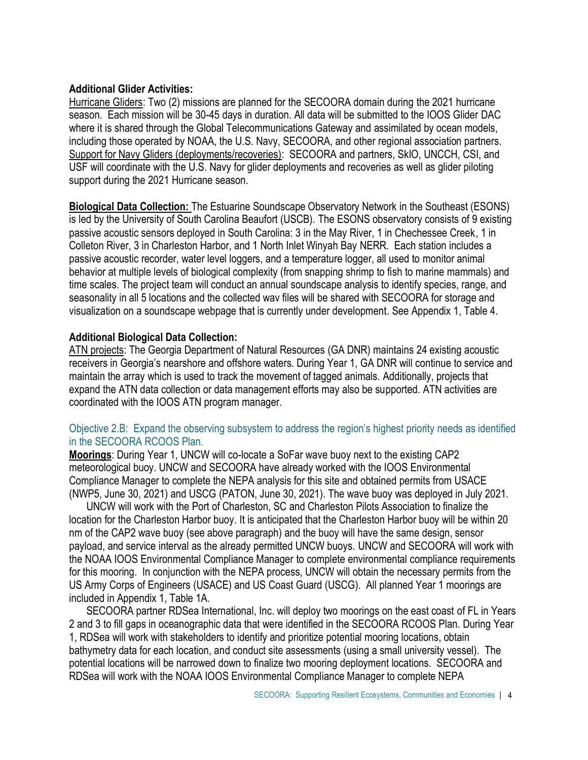### **Additional Glider Activities:**

Hurricane Gliders: Two (2) missions are planned for the SECOORA domain during the 2021 hurricane season. Each mission will be 30-45 days in duration. All data will be submitted to the IOOS Glider DAC where it is shared through the Global Telecommunications Gateway and assimilated by ocean models, including those operated by NOAA, the U.S. Navy, SECOORA, and other regional association partners. Support for Navy Gliders (deployments/recoveries): SECOORA and partners, SkIO, UNCCH, CSI, and USF will coordinate with the U.S. Navy for glider deployments and recoveries as well as glider piloting support during the 2021 Hurricane season.

**Biological Data Collection:** The Estuarine Soundscape Observatory Network in the Southeast (ESONS) is led by the University of South Carolina Beaufort (USCB). The ESONS observatory consists of 9 existing passive acoustic sensors deployed in South Carolina: 3 in the May River, 1 in Chechessee Creek, 1 in Colleton River, 3 in Charleston Harbor, and 1 North Inlet Winyah Bay NERR. Each station includes a passive acoustic recorder, water level loggers, and a temperature logger, all used to monitor animal behavior at multiple levels of biological complexity (from snapping shrimp to fish to marine mammals) and time scales. The project team will conduct an annual soundscape analysis to identify species, range, and seasonality in all 5 locations and the collected wav files will be shared with SECOORA for storage and visualization on a soundscape webpage that is currently under development. See Appendix 1, Table 4.

### **Additional Biological Data Collection:**

ATN projects: The Georgia Department of Natural Resources (GA DNR) maintains 24 existing acoustic receivers in Georgia's nearshore and offshore waters. During Year 1, GA DNR will continue to service and maintain the array which is used to track the movement of tagged animals. Additionally, projects that expand the ATN data collection or data management efforts may also be supported. ATN activities are coordinated with the IOOS ATN program manager.

#### Objective 2.B: Expand the observing subsystem to address the region's highest priority needs as identified in the SECOORA RCOOS Plan*.*

**Moorings**: During Year 1, UNCW will co-locate a SoFar wave buoy next to the existing CAP2 meteorological buoy. UNCW and SECOORA have already worked with the IOOS Environmental Compliance Manager to complete the NEPA analysis for this site and obtained permits from USACE (NWP5, June 30, 2021) and USCG (PATON, June 30, 2021). The wave buoy was deployed in July 2021.

UNCW will work with the Port of Charleston, SC and Charleston Pilots Association to finalize the location for the Charleston Harbor buoy. It is anticipated that the Charleston Harbor buoy will be within 20 nm of the CAP2 wave buoy (see above paragraph) and the buoy will have the same design, sensor payload, and service interval as the already permitted UNCW buoys. UNCW and SECOORA will work with the NOAA IOOS Environmental Compliance Manager to complete environmental compliance requirements for this mooring. In conjunction with the NEPA process, UNCW will obtain the necessary permits from the US Army Corps of Engineers (USACE) and US Coast Guard (USCG). All planned Year 1 moorings are included in Appendix 1, Table 1A.

SECOORA partner RDSea International, Inc. will deploy two moorings on the east coast of FL in Years 2 and 3 to fill gaps in oceanographic data that were identified in the SECOORA RCOOS Plan. During Year 1, RDSea will work with stakeholders to identify and prioritize potential mooring locations, obtain bathymetry data for each location, and conduct site assessments (using a small university vessel). The potential locations will be narrowed down to finalize two mooring deployment locations. SECOORA and RDSea will work with the NOAA IOOS Environmental Compliance Manager to complete NEPA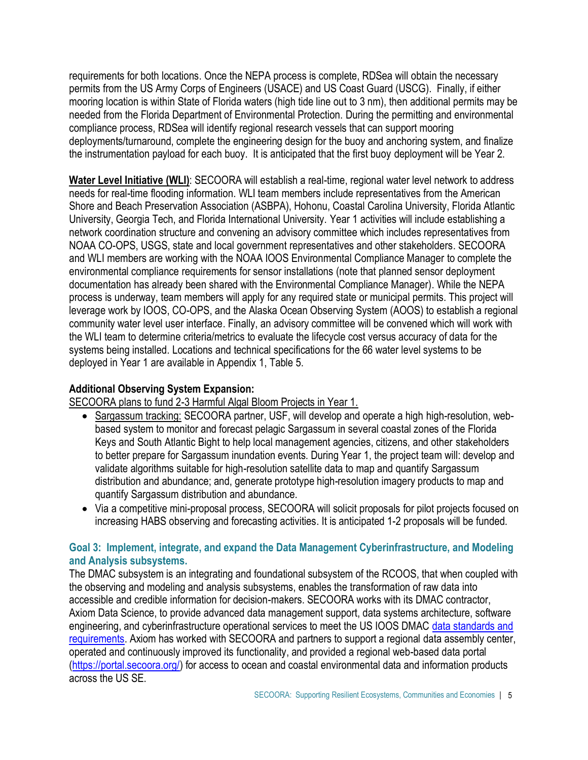requirements for both locations. Once the NEPA process is complete, RDSea will obtain the necessary permits from the US Army Corps of Engineers (USACE) and US Coast Guard (USCG). Finally, if either mooring location is within State of Florida waters (high tide line out to 3 nm), then additional permits may be needed from the Florida Department of Environmental Protection. During the permitting and environmental compliance process, RDSea will identify regional research vessels that can support mooring deployments/turnaround, complete the engineering design for the buoy and anchoring system, and finalize the instrumentation payload for each buoy. It is anticipated that the first buoy deployment will be Year 2.

**Water Level Initiative (WLI)**: SECOORA will establish a real-time, regional water level network to address needs for real-time flooding information. WLI team members include representatives from the American Shore and Beach Preservation Association (ASBPA), Hohonu, Coastal Carolina University, Florida Atlantic University, Georgia Tech, and Florida International University. Year 1 activities will include establishing a network coordination structure and convening an advisory committee which includes representatives from NOAA CO-OPS, USGS, state and local government representatives and other stakeholders. SECOORA and WLI members are working with the NOAA IOOS Environmental Compliance Manager to complete the environmental compliance requirements for sensor installations (note that planned sensor deployment documentation has already been shared with the Environmental Compliance Manager). While the NEPA process is underway, team members will apply for any required state or municipal permits. This project will leverage work by IOOS, CO-OPS, and the Alaska Ocean Observing System (AOOS) to establish a regional community water level user interface. Finally, an advisory committee will be convened which will work with the WLI team to determine criteria/metrics to evaluate the lifecycle cost versus accuracy of data for the systems being installed. Locations and technical specifications for the 66 water level systems to be deployed in Year 1 are available in Appendix 1, Table 5.

## **Additional Observing System Expansion:**

SECOORA plans to fund 2-3 Harmful Algal Bloom Projects in Year 1.

- Sargassum tracking: SECOORA partner, USF, will develop and operate a high high-resolution, webbased system to monitor and forecast pelagic Sargassum in several coastal zones of the Florida Keys and South Atlantic Bight to help local management agencies, citizens, and other stakeholders to better prepare for Sargassum inundation events. During Year 1, the project team will: develop and validate algorithms suitable for high-resolution satellite data to map and quantify Sargassum distribution and abundance; and, generate prototype high-resolution imagery products to map and quantify Sargassum distribution and abundance.
- Via a competitive mini-proposal process, SECOORA will solicit proposals for pilot projects focused on increasing HABS observing and forecasting activities. It is anticipated 1-2 proposals will be funded.

## **Goal 3: Implement, integrate, and expand the Data Management Cyberinfrastructure, and Modeling and Analysis subsystems.**

The DMAC subsystem is an integrating and foundational subsystem of the RCOOS, that when coupled with the observing and modeling and analysis subsystems, enables the transformation of raw data into accessible and credible information for decision-makers. SECOORA works with its DMAC contractor, Axiom Data Science, to provide advanced data management support, data systems architecture, software engineering, and cyberinfrastructure operational services to meet the US IOOS DMAC [data standards and](https://ioos.noaa.gov/data/contribute-data/)  [requirements.](https://ioos.noaa.gov/data/contribute-data/) Axiom has worked with SECOORA and partners to support a regional data assembly center, operated and continuously improved its functionality, and provided a regional web-based data portal [\(https://portal.secoora.org/\)](https://portal.secoora.org/) for access to ocean and coastal environmental data and information products across the US SE.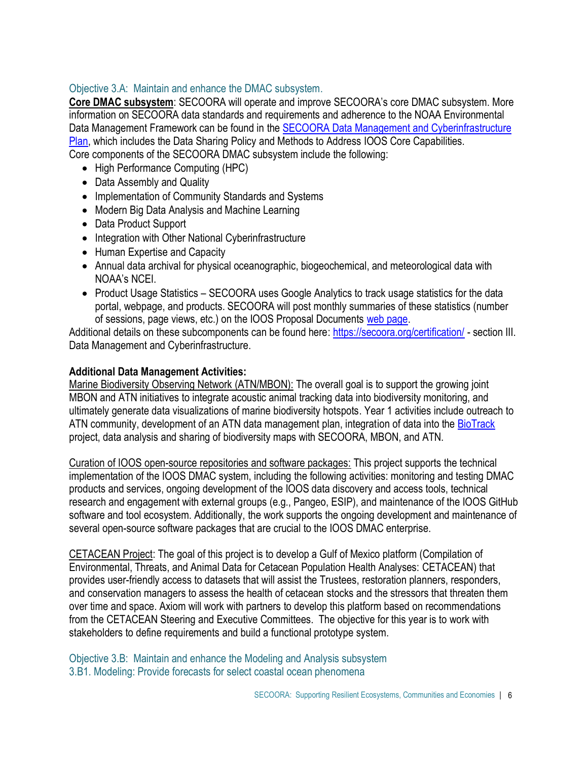## Objective 3.A: Maintain and enhance the DMAC subsystem.

**Core DMAC subsystem**: SECOORA will operate and improve SECOORA's core DMAC subsystem. More information on SECOORA data standards and requirements and adherence to the NOAA Environmental Data Management Framework can be found in the SECOORA Data Management and Cyberinfrastructure [Plan,](http://secoora.org/wp-content/uploads/2021/05/SECOORA-DMAC-Plan_FINAL_05_21_2021.pdf) which includes the Data Sharing Policy and Methods to Address IOOS Core Capabilities. Core components of the SECOORA DMAC subsystem include the following:

- High Performance Computing (HPC)
- Data Assembly and Quality
- Implementation of Community Standards and Systems
- Modern Big Data Analysis and Machine Learning
- Data Product Support
- Integration with Other National Cyberinfrastructure
- Human Expertise and Capacity
- Annual data archival for physical oceanographic, biogeochemical, and meteorological data with NOAA's NCEI.
- Product Usage Statistics SECOORA uses Google Analytics to track usage statistics for the data portal, webpage, and products. SECOORA will post monthly summaries of these statistics (number of sessions, page views, etc.) on the IOOS Proposal Documents [web page.](https://secoora.org/us-ioos-proposal-documents/)

Additional details on these subcomponents can be found here[: https://secoora.org/certification/](https://secoora.org/certification/) - section III. Data Management and Cyberinfrastructure.

## **Additional Data Management Activities:**

Marine Biodiversity Observing Network (ATN/MBON): The overall goal is to support the growing joint MBON and ATN initiatives to integrate acoustic animal tracking data into biodiversity monitoring, and ultimately generate data visualizations of marine biodiversity hotspots. Year 1 activities include outreach to ATN community, development of an ATN data management plan, integration of data into the [BioTrack](https://marinebon.org/pages/biotrack/) project, data analysis and sharing of biodiversity maps with SECOORA, MBON, and ATN.

Curation of IOOS open-source repositories and software packages: This project supports the technical implementation of the IOOS DMAC system, including the following activities: monitoring and testing DMAC products and services, ongoing development of the IOOS data discovery and access tools, technical research and engagement with external groups (e.g., Pangeo, ESIP), and maintenance of the IOOS GitHub software and tool ecosystem. Additionally, the work supports the ongoing development and maintenance of several open-source software packages that are crucial to the IOOS DMAC enterprise.

CETACEAN Project: The goal of this project is to develop a Gulf of Mexico platform (Compilation of Environmental, Threats, and Animal Data for Cetacean Population Health Analyses: CETACEAN) that provides user-friendly access to datasets that will assist the Trustees, restoration planners, responders, and conservation managers to assess the health of cetacean stocks and the stressors that threaten them over time and space. Axiom will work with partners to develop this platform based on recommendations from the CETACEAN Steering and Executive Committees. The objective for this year is to work with stakeholders to define requirements and build a functional prototype system.

Objective 3.B: Maintain and enhance the Modeling and Analysis subsystem 3.B1. Modeling: Provide forecasts for select coastal ocean phenomena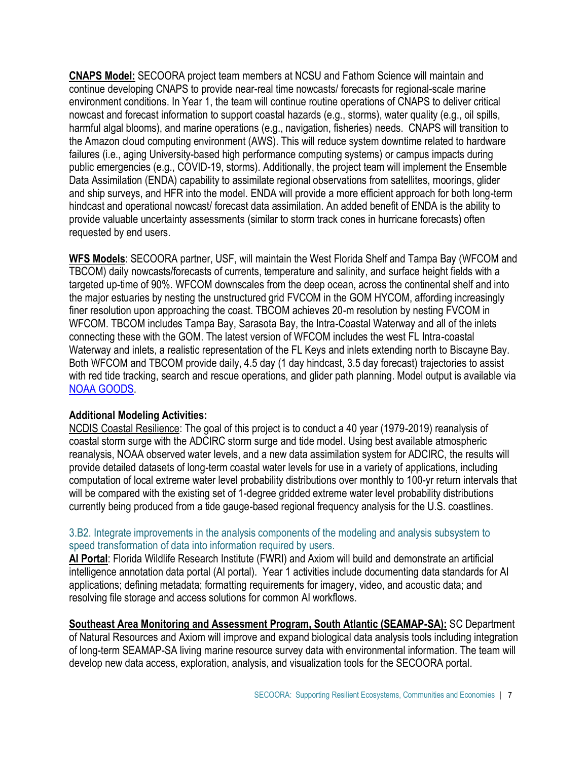**CNAPS Model:** SECOORA project team members at NCSU and Fathom Science will maintain and continue developing CNAPS to provide near-real time nowcasts/ forecasts for regional-scale marine environment conditions. In Year 1, the team will continue routine operations of CNAPS to deliver critical nowcast and forecast information to support coastal hazards (e.g., storms), water quality (e.g., oil spills, harmful algal blooms), and marine operations (e.g., navigation, fisheries) needs. CNAPS will transition to the Amazon cloud computing environment (AWS). This will reduce system downtime related to hardware failures (i.e., aging University-based high performance computing systems) or campus impacts during public emergencies (e.g., COVID-19, storms). Additionally, the project team will implement the Ensemble Data Assimilation (ENDA) capability to assimilate regional observations from satellites, moorings, glider and ship surveys, and HFR into the model. ENDA will provide a more efficient approach for both long-term hindcast and operational nowcast/ forecast data assimilation. An added benefit of ENDA is the ability to provide valuable uncertainty assessments (similar to storm track cones in hurricane forecasts) often requested by end users.

**WFS Models**: SECOORA partner, USF, will maintain the West Florida Shelf and Tampa Bay (WFCOM and TBCOM) daily nowcasts/forecasts of currents, temperature and salinity, and surface height fields with a targeted up-time of 90%. WFCOM downscales from the deep ocean, across the continental shelf and into the major estuaries by nesting the unstructured grid FVCOM in the GOM HYCOM, affording increasingly finer resolution upon approaching the coast. TBCOM achieves 20-m resolution by nesting FVCOM in WFCOM. TBCOM includes Tampa Bay, Sarasota Bay, the Intra-Coastal Waterway and all of the inlets connecting these with the GOM. The latest version of WFCOM includes the west FL Intra-coastal Waterway and inlets, a realistic representation of the FL Keys and inlets extending north to Biscayne Bay. Both WFCOM and TBCOM provide daily, 4.5 day (1 day hindcast, 3.5 day forecast) trajectories to assist with red tide tracking, search and rescue operations, and glider path planning. Model output is available via [NOAA GOODS.](https://gnome.orr.noaa.gov/goods)

## **Additional Modeling Activities:**

NCDIS Coastal Resilience: The goal of this project is to conduct a 40 year (1979-2019) reanalysis of coastal storm surge with the ADCIRC storm surge and tide model. Using best available atmospheric reanalysis, NOAA observed water levels, and a new data assimilation system for ADCIRC, the results will provide detailed datasets of long-term coastal water levels for use in a variety of applications, including computation of local extreme water level probability distributions over monthly to 100-yr return intervals that will be compared with the existing set of 1-degree gridded extreme water level probability distributions currently being produced from a tide gauge-based regional frequency analysis for the U.S. coastlines.

### 3.B2. Integrate improvements in the analysis components of the modeling and analysis subsystem to speed transformation of data into information required by users.

**AI Portal**: Florida Wildlife Research Institute (FWRI) and Axiom will build and demonstrate an artificial intelligence annotation data portal (AI portal). Year 1 activities include documenting data standards for AI applications; defining metadata; formatting requirements for imagery, video, and acoustic data; and resolving file storage and access solutions for common AI workflows.

**Southeast Area Monitoring and Assessment Program, South Atlantic (SEAMAP-SA):** SC Department of Natural Resources and Axiom will improve and expand biological data analysis tools including integration of long-term SEAMAP-SA living marine resource survey data with environmental information. The team will develop new data access, exploration, analysis, and visualization tools for the SECOORA portal.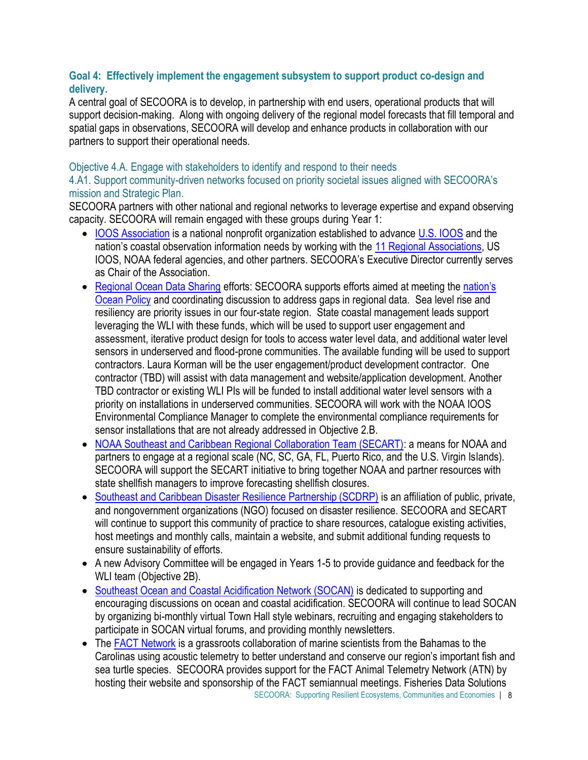## **Goal 4: Effectively implement the engagement subsystem to support product co-design and delivery.**

A central goal of SECOORA is to develop, in partnership with end users, operational products that will support decision-making. Along with ongoing delivery of the regional model forecasts that fill temporal and spatial gaps in observations, SECOORA will develop and enhance products in collaboration with our partners to support their operational needs.

#### Objective 4.A. Engage with stakeholders to identify and respond to their needs

4.A1. Support community-driven networks focused on priority societal issues aligned with SECOORA's mission and Strategic Plan.

SECOORA partners with other national and regional networks to leverage expertise and expand observing capacity. SECOORA will remain engaged with these groups during Year 1:

- [IOOS Association](http://www.ioosassociation.org/node/187) is a national nonprofit organization established to advance [U.S. IOOS](http://ioos.noaa.gov/) and the nation's coastal observation information needs by working with the [11 Regional Associations,](http://www.ioosassociation.org/regionalIOOS) US IOOS, NOAA federal agencies, and other partners. SECOORA's Executive Director currently serves as Chair of the Association.
- [Regional Ocean Data Sharing](https://secoora.org/sand-management/#project-overview) efforts: SECOORA supports efforts aimed at meeting the nation's **[Ocean Policy](https://www.whitehouse.gov/presidential-actions/executive-order-regarding-ocean-policy-advance-economic-security-environmental-interests-united-states/)** and coordinating discussion to address gaps in regional data. Sea level rise and resiliency are priority issues in our four-state region. State coastal management leads support leveraging the WLI with these funds, which will be used to support user engagement and assessment, iterative product design for tools to access water level data, and additional water level sensors in underserved and flood-prone communities. The available funding will be used to support contractors. Laura Korman will be the user engagement/product development contractor. One contractor (TBD) will assist with data management and website/application development. Another TBD contractor or existing WLI PIs will be funded to install additional water level sensors with a priority on installations in underserved communities. SECOORA will work with the NOAA IOOS Environmental Compliance Manager to complete the environmental compliance requirements for sensor installations that are not already addressed in Objective 2.B.
- [NOAA Southeast and Caribbean Regional Collaboration Team \(SECART\):](https://www.regions.noaa.gov/secar/index.php/regional-team/) a means for NOAA and partners to engage at a regional scale (NC, SC, GA, FL, Puerto Rico, and the U.S. Virgin Islands). SECOORA will support the SECART initiative to bring together NOAA and partner resources with state shellfish managers to improve forecasting shellfish closures.
- [Southeast and Caribbean Disaster Resilience Partnership \(SCDRP\)](https://secoora.org/sdrp/) is an affiliation of public, private, and nongovernment organizations (NGO) focused on disaster resilience. SECOORA and SECART will continue to support this community of practice to share resources, catalogue existing activities, host meetings and monthly calls, maintain a website, and submit additional funding requests to ensure sustainability of efforts.
- A new Advisory Committee will be engaged in Years 1-5 to provide guidance and feedback for the WLI team (Objective 2B).
- [Southeast Ocean and Coastal Acidification Network \(SOCAN\)](https://www.socan.secoora.org/) is dedicated to supporting and encouraging discussions on ocean and coastal acidification. SECOORA will continue to lead SOCAN by organizing bi-monthly virtual Town Hall style webinars, recruiting and engaging stakeholders to participate in SOCAN virtual forums, and providing monthly newsletters.
- Th[e FACT Network](https://secoora.org/fact/) is a grassroots collaboration of marine scientists from the Bahamas to the Carolinas using acoustic telemetry to better understand and conserve our region's important fish and sea turtle species. SECOORA provides support for the FACT Animal Telemetry Network (ATN) by hosting their website and sponsorship of the FACT semiannual meetings. Fisheries Data Solutions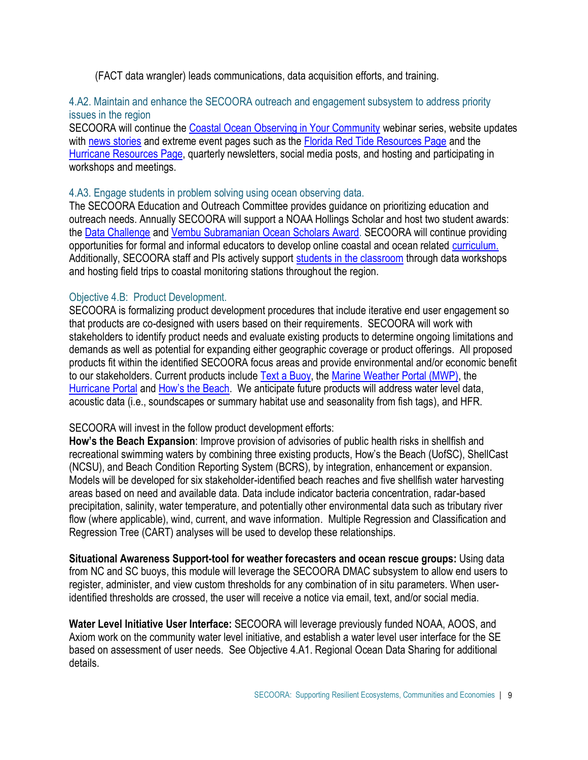(FACT data wrangler) leads communications, data acquisition efforts, and training.

## 4.A2. Maintain and enhance the SECOORA outreach and engagement subsystem to address priority issues in the region

SECOORA will continue th[e Coastal Ocean Observing in Your Community](https://secoora.org/webinar-series/) webinar series, website updates with [news stories](https://secoora.org/news/) and extreme event pages such as th[e Florida Red Tide Resources Page](https://secoora.org/red-tide-data-resources-for-florida/) and the [Hurricane Resources Page,](https://secoora.org/hurricane-resources/) quarterly newsletters, social media posts, and hosting and participating in workshops and meetings.

## 4.A3. Engage students in problem solving using ocean observing data.

The SECOORA Education and Outreach Committee provides guidance on prioritizing education and outreach needs. Annually SECOORA will support a NOAA Hollings Scholar and host two student awards: the [Data Challenge](https://secoora.org/data-challenge/) and [Vembu Subramanian Ocean Scholars Award.](https://secoora.org/vembu-subramanian-ocean-scholars-award/) SECOORA will continue providing opportunities for formal and informal educators to develop online coastal and ocean related [curriculum.](https://secoora.org/education-outreach/classroom-activities/) Additionally, SECOORA staff and PIs actively support [students in the classroom](https://secoora.org/education-outreach/engaging-the-next-generation/) through data workshops and hosting field trips to coastal monitoring stations throughout the region.

## Objective 4.B: Product Development.

SECOORA is formalizing product development procedures that include iterative end user engagement so that products are co-designed with users based on their requirements. SECOORA will work with stakeholders to identify product needs and evaluate existing products to determine ongoing limitations and demands as well as potential for expanding either geographic coverage or product offerings. All proposed products fit within the identified SECOORA focus areas and provide environmental and/or economic benefit to our stakeholders. Current products include [Text a Buoy,](https://secoora.org/text-a-buoy/) the [Marine Weather Portal \(MWP\),](https://mwp.secoora.org/) the [Hurricane Portal](https://hurricane.portal.secoora.org/) and [How's the Beach](http://howsthebeach.org/). We anticipate future products will address water level data, acoustic data (i.e., soundscapes or summary habitat use and seasonality from fish tags), and HFR.

#### SECOORA will invest in the follow product development efforts:

**How's the Beach Expansion**: Improve provision of advisories of public health risks in shellfish and recreational swimming waters by combining three existing products, How's the Beach (UofSC), ShellCast (NCSU), and Beach Condition Reporting System (BCRS), by integration, enhancement or expansion. Models will be developed for six stakeholder-identified beach reaches and five shellfish water harvesting areas based on need and available data. Data include indicator bacteria concentration, radar-based precipitation, salinity, water temperature, and potentially other environmental data such as tributary river flow (where applicable), wind, current, and wave information. Multiple Regression and Classification and Regression Tree (CART) analyses will be used to develop these relationships.

**Situational Awareness Support-tool for weather forecasters and ocean rescue groups:** Using data from NC and SC buoys, this module will leverage the SECOORA DMAC subsystem to allow end users to register, administer, and view custom thresholds for any combination of in situ parameters. When useridentified thresholds are crossed, the user will receive a notice via email, text, and/or social media.

**Water Level Initiative User Interface:** SECOORA will leverage previously funded NOAA, AOOS, and Axiom work on the community water level initiative, and establish a water level user interface for the SE based on assessment of user needs. See Objective 4.A1. Regional Ocean Data Sharing for additional details.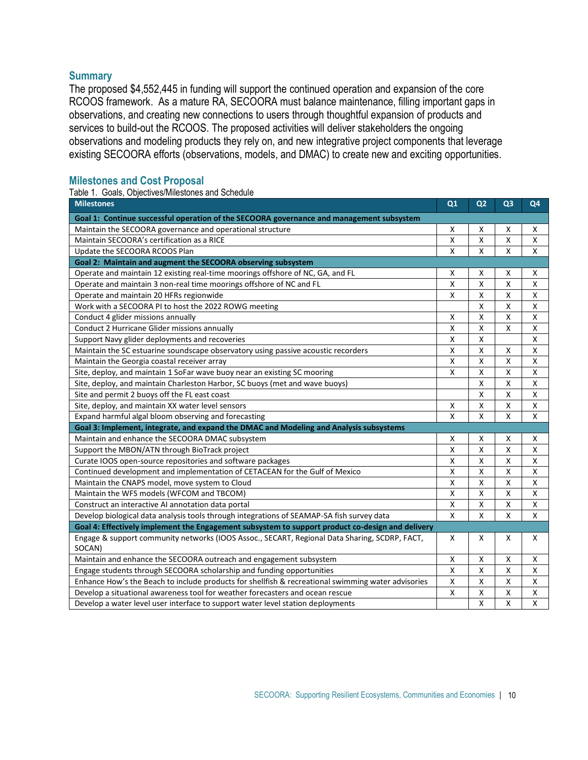#### **Summary**

The proposed \$4,552,445 in funding will support the continued operation and expansion of the core RCOOS framework. As a mature RA, SECOORA must balance maintenance, filling important gaps in observations, and creating new connections to users through thoughtful expansion of products and services to build-out the RCOOS. The proposed activities will deliver stakeholders the ongoing observations and modeling products they rely on, and new integrative project components that leverage existing SECOORA efforts (observations, models, and DMAC) to create new and exciting opportunities.

#### **Milestones and Cost Proposal**

Table 1. Goals, Objectives/Milestones and Schedule

| <b>Milestones</b>                                                                                  | Q1                 | Q <sub>2</sub>     | Q <sub>3</sub>     | Q <sub>4</sub>            |  |  |  |  |  |
|----------------------------------------------------------------------------------------------------|--------------------|--------------------|--------------------|---------------------------|--|--|--|--|--|
| Goal 1: Continue successful operation of the SECOORA governance and management subsystem           |                    |                    |                    |                           |  |  |  |  |  |
| Maintain the SECOORA governance and operational structure                                          | X                  | X                  | х                  | х                         |  |  |  |  |  |
| Maintain SECOORA's certification as a RICE                                                         | $\pmb{\mathsf{X}}$ | $\pmb{\mathsf{X}}$ | X                  | $\pmb{\times}$            |  |  |  |  |  |
| Update the SECOORA RCOOS Plan                                                                      | X                  | $\mathsf{x}$       | X                  | $\mathsf{x}$              |  |  |  |  |  |
| Goal 2: Maintain and augment the SECOORA observing subsystem                                       |                    |                    |                    |                           |  |  |  |  |  |
| Operate and maintain 12 existing real-time moorings offshore of NC, GA, and FL                     | х                  | X                  | х                  | х                         |  |  |  |  |  |
| Operate and maintain 3 non-real time moorings offshore of NC and FL                                | $\pmb{\mathsf{X}}$ | X                  | $\pmb{\mathsf{X}}$ | X                         |  |  |  |  |  |
| Operate and maintain 20 HFRs regionwide                                                            | X                  | X                  | X                  | $\boldsymbol{\mathsf{X}}$ |  |  |  |  |  |
| Work with a SECOORA PI to host the 2022 ROWG meeting                                               |                    | X                  | X                  | X                         |  |  |  |  |  |
| Conduct 4 glider missions annually                                                                 | X                  | $\mathsf{x}$       | X                  | X                         |  |  |  |  |  |
| Conduct 2 Hurricane Glider missions annually                                                       | X                  | X                  | $\mathsf{x}$       | X                         |  |  |  |  |  |
| Support Navy glider deployments and recoveries                                                     | $\pmb{\mathsf{X}}$ | X                  |                    | X                         |  |  |  |  |  |
| Maintain the SC estuarine soundscape observatory using passive acoustic recorders                  | $\pmb{\mathsf{X}}$ | X                  | X                  | X                         |  |  |  |  |  |
| Maintain the Georgia coastal receiver array                                                        | $\pmb{\mathsf{X}}$ | X                  | X                  | X                         |  |  |  |  |  |
| Site, deploy, and maintain 1 SoFar wave buoy near an existing SC mooring                           | X                  | X                  | X                  | X                         |  |  |  |  |  |
| Site, deploy, and maintain Charleston Harbor, SC buoys (met and wave buoys)                        |                    | X                  | X                  | X                         |  |  |  |  |  |
| Site and permit 2 buoys off the FL east coast                                                      |                    | $\mathsf{x}$       | X                  | $\mathsf{x}$              |  |  |  |  |  |
| Site, deploy, and maintain XX water level sensors                                                  | X                  | X                  | X                  | X                         |  |  |  |  |  |
| Expand harmful algal bloom observing and forecasting                                               | X                  | $\mathsf{x}$       | X                  | $\mathsf{x}$              |  |  |  |  |  |
| Goal 3: Implement, integrate, and expand the DMAC and Modeling and Analysis subsystems             |                    |                    |                    |                           |  |  |  |  |  |
| Maintain and enhance the SECOORA DMAC subsystem                                                    | X                  | X                  | x                  | X                         |  |  |  |  |  |
| Support the MBON/ATN through BioTrack project                                                      | X                  | X                  | $\mathsf{x}$       | X                         |  |  |  |  |  |
| Curate IOOS open-source repositories and software packages                                         | X                  | X                  | X                  | X                         |  |  |  |  |  |
| Continued development and implementation of CETACEAN for the Gulf of Mexico                        | X                  | X                  | X                  | X                         |  |  |  |  |  |
| Maintain the CNAPS model, move system to Cloud                                                     | $\pmb{\mathsf{X}}$ | X                  | Χ                  | X                         |  |  |  |  |  |
| Maintain the WFS models (WFCOM and TBCOM)                                                          | X                  | $\mathsf{x}$       | $\mathsf{x}$       | $\pmb{\times}$            |  |  |  |  |  |
| Construct an interactive AI annotation data portal                                                 | $\pmb{\mathsf{X}}$ | X                  | X                  | X                         |  |  |  |  |  |
| Develop biological data analysis tools through integrations of SEAMAP-SA fish survey data          | X                  | $\pmb{\mathsf{X}}$ | Χ                  | X                         |  |  |  |  |  |
| Goal 4: Effectively implement the Engagement subsystem to support product co-design and delivery   |                    |                    |                    |                           |  |  |  |  |  |
| Engage & support community networks (IOOS Assoc., SECART, Regional Data Sharing, SCDRP, FACT,      | X                  | X                  | X                  | X                         |  |  |  |  |  |
| SOCAN)                                                                                             |                    |                    |                    |                           |  |  |  |  |  |
| Maintain and enhance the SECOORA outreach and engagement subsystem                                 | X                  | X                  | X                  | X                         |  |  |  |  |  |
| Engage students through SECOORA scholarship and funding opportunities                              | X                  | $\pmb{\mathsf{X}}$ | X                  | $\mathsf{x}$              |  |  |  |  |  |
| Enhance How's the Beach to include products for shellfish & recreational swimming water advisories | X                  | X                  | X                  | X                         |  |  |  |  |  |
| Develop a situational awareness tool for weather forecasters and ocean rescue                      | $\pmb{\mathsf{X}}$ | $\pmb{\mathsf{X}}$ | $\pmb{\mathsf{X}}$ | X                         |  |  |  |  |  |
| Develop a water level user interface to support water level station deployments                    |                    | $\mathsf{x}$       | X                  | $\mathsf{X}$              |  |  |  |  |  |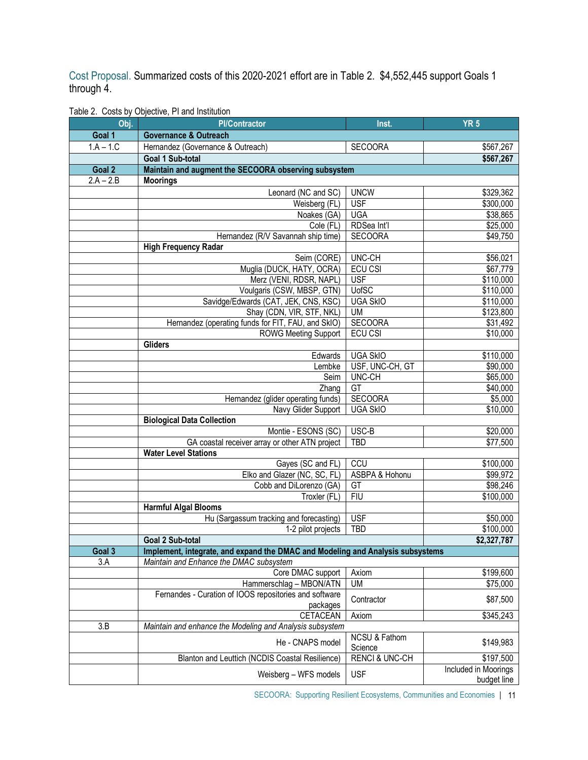Cost Proposal. Summarized costs of this 2020-2021 effort are in Table 2. \$4,552,445 support Goals 1 through 4.

| Obj.        | <b>PI/Contractor</b>                                                           | Inst.                     | YR <sub>5</sub>      |  |  |  |
|-------------|--------------------------------------------------------------------------------|---------------------------|----------------------|--|--|--|
| Goal 1      | <b>Governance &amp; Outreach</b>                                               |                           |                      |  |  |  |
| $1.A - 1.C$ | Hernandez (Governance & Outreach)                                              | <b>SECOORA</b>            | \$567,267            |  |  |  |
|             | Goal 1 Sub-total                                                               |                           | \$567,267            |  |  |  |
| Goal 2      | Maintain and augment the SECOORA observing subsystem                           |                           |                      |  |  |  |
| $2.A - 2.B$ | <b>Moorings</b>                                                                |                           |                      |  |  |  |
|             | Leonard (NC and SC)                                                            | <b>UNCW</b>               | \$329,362            |  |  |  |
|             | Weisberg (FL)                                                                  | <b>USF</b>                | \$300,000            |  |  |  |
|             | Noakes (GA)                                                                    | <b>UGA</b>                | \$38,865             |  |  |  |
|             | Cole (FL)                                                                      | RDSea Int'l               | \$25,000             |  |  |  |
|             | Hernandez (R/V Savannah ship time)                                             | <b>SECOORA</b>            | \$49,750             |  |  |  |
|             | <b>High Frequency Radar</b>                                                    |                           |                      |  |  |  |
|             | Seim (CORE)                                                                    | UNC-CH                    | \$56,021             |  |  |  |
|             | Muglia (DUCK, HATY, OCRA)                                                      | <b>ECU CSI</b>            | \$67,779             |  |  |  |
|             | Merz (VENI, RDSR, NAPL)                                                        | <b>USF</b>                | \$110,000            |  |  |  |
|             | Voulgaris (CSW, MBSP, GTN)                                                     | <b>UofSC</b>              | \$110,000            |  |  |  |
|             | Savidge/Edwards (CAT, JEK, CNS, KSC)                                           | <b>UGA SkIO</b>           | \$110,000            |  |  |  |
|             | Shay (CDN, VIR, STF, NKL)                                                      | <b>UM</b>                 | \$123,800            |  |  |  |
|             | Hernandez (operating funds for FIT, FAU, and SkIO)                             | <b>SECOORA</b>            | $\overline{$}31,492$ |  |  |  |
|             | <b>ROWG Meeting Support</b>                                                    | <b>ECU CSI</b>            | \$10,000             |  |  |  |
|             | <b>Gliders</b>                                                                 | <b>UGA SkIO</b>           |                      |  |  |  |
|             | Edwards                                                                        | \$110,000                 |                      |  |  |  |
|             | Lembke                                                                         | \$90,000                  |                      |  |  |  |
|             | Seim                                                                           | \$65,000                  |                      |  |  |  |
|             | Zhang                                                                          | \$40,000                  |                      |  |  |  |
|             | Hernandez (glider operating funds)                                             | \$5,000                   |                      |  |  |  |
|             | Navy Glider Support                                                            | <b>UGA SkIO</b>           | \$10,000             |  |  |  |
|             | <b>Biological Data Collection</b><br>Montie - ESONS (SC)                       | USC-B                     | \$20,000             |  |  |  |
|             | GA coastal receiver array or other ATN project                                 | <b>TBD</b>                | \$77,500             |  |  |  |
|             | <b>Water Level Stations</b>                                                    |                           |                      |  |  |  |
|             | Gayes (SC and FL)                                                              | CCU                       | \$100,000            |  |  |  |
|             | Elko and Glazer (NC, SC, FL)                                                   | ASBPA & Hohonu            | \$99,972             |  |  |  |
|             | Cobb and DiLorenzo (GA)                                                        | GT                        | \$98,246             |  |  |  |
|             | Troxler (FL)                                                                   | <b>FIU</b>                | \$100,000            |  |  |  |
|             | <b>Harmful Algal Blooms</b>                                                    |                           |                      |  |  |  |
|             | Hu (Sargassum tracking and forecasting)                                        | <b>USF</b>                | \$50,000             |  |  |  |
|             | 1-2 pilot projects                                                             | <b>TBD</b>                | \$100,000            |  |  |  |
|             | Goal 2 Sub-total                                                               |                           | \$2,327,787          |  |  |  |
| Goal 3      | Implement, integrate, and expand the DMAC and Modeling and Analysis subsystems |                           |                      |  |  |  |
| 3.A         | Maintain and Enhance the DMAC subsystem                                        |                           |                      |  |  |  |
|             | Core DMAC support                                                              | Axiom                     | \$199,600            |  |  |  |
|             | Hammerschlag - MBON/ATN                                                        | <b>UM</b>                 | \$75,000             |  |  |  |
|             | Fernandes - Curation of IOOS repositories and software                         | Contractor                |                      |  |  |  |
|             | packages                                                                       | \$87,500                  |                      |  |  |  |
|             | CETACEAN                                                                       | \$345,243                 |                      |  |  |  |
| 3.B         | Maintain and enhance the Modeling and Analysis subsystem                       |                           |                      |  |  |  |
|             | He - CNAPS model                                                               | <b>NCSU &amp; Fathom</b>  | \$149,983            |  |  |  |
|             | Science                                                                        |                           |                      |  |  |  |
|             | Blanton and Leuttich (NCDIS Coastal Resilience)                                | <b>RENCI &amp; UNC-CH</b> | \$197,500            |  |  |  |
|             | Weisberg - WFS models                                                          | <b>USF</b>                | Included in Moorings |  |  |  |
|             |                                                                                |                           | budget line          |  |  |  |

Table 2. Costs by Objective, PI and Institution

SECOORA: Supporting Resilient Ecosystems, Communities and Economies | 11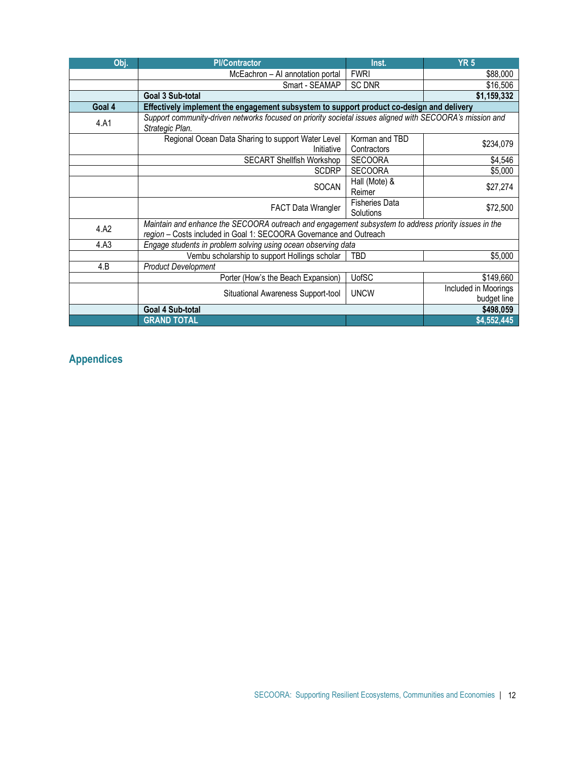| Obj.   | <b>PI/Contractor</b>                                                                                                                                                       | Inst.                                      | <b>YR 5</b>                         |  |  |  |  |  |
|--------|----------------------------------------------------------------------------------------------------------------------------------------------------------------------------|--------------------------------------------|-------------------------------------|--|--|--|--|--|
|        | McEachron - AI annotation portal                                                                                                                                           | <b>FWRI</b>                                | \$88,000                            |  |  |  |  |  |
|        | Smart - SEAMAP                                                                                                                                                             | <b>SC DNR</b>                              | \$16,506                            |  |  |  |  |  |
|        | Goal 3 Sub-total                                                                                                                                                           |                                            | \$1,159,332                         |  |  |  |  |  |
| Goal 4 | Effectively implement the engagement subsystem to support product co-design and delivery                                                                                   |                                            |                                     |  |  |  |  |  |
| 4.A1   | Support community-driven networks focused on priority societal issues aligned with SECOORA's mission and<br>Strategic Plan.                                                |                                            |                                     |  |  |  |  |  |
|        | Regional Ocean Data Sharing to support Water Level<br>Initiative                                                                                                           | Korman and TBD<br>\$234,079<br>Contractors |                                     |  |  |  |  |  |
|        | <b>SECART Shellfish Workshop</b>                                                                                                                                           | <b>SECOORA</b>                             | \$4,546                             |  |  |  |  |  |
|        | <b>SCDRP</b>                                                                                                                                                               | <b>SECOORA</b>                             | \$5,000                             |  |  |  |  |  |
|        | <b>SOCAN</b>                                                                                                                                                               | \$27,274                                   |                                     |  |  |  |  |  |
|        | <b>FACT Data Wrangler</b>                                                                                                                                                  | <b>Fisheries Data</b><br>Solutions         | \$72,500                            |  |  |  |  |  |
| 4.A2   | Maintain and enhance the SECOORA outreach and engagement subsystem to address priority issues in the<br>region - Costs included in Goal 1: SECOORA Governance and Outreach |                                            |                                     |  |  |  |  |  |
| 4.A3   | Engage students in problem solving using ocean observing data                                                                                                              |                                            |                                     |  |  |  |  |  |
|        | Vembu scholarship to support Hollings scholar                                                                                                                              | TBD                                        | \$5,000                             |  |  |  |  |  |
| 4.B    | <b>Product Development</b>                                                                                                                                                 |                                            |                                     |  |  |  |  |  |
|        | Porter (How's the Beach Expansion)                                                                                                                                         | <b>UofSC</b>                               | \$149,660                           |  |  |  |  |  |
|        | Situational Awareness Support-tool                                                                                                                                         | <b>UNCW</b>                                | Included in Moorings<br>budget line |  |  |  |  |  |
|        | Goal 4 Sub-total                                                                                                                                                           |                                            | \$498,059                           |  |  |  |  |  |
|        | <b>GRAND TOTAL</b>                                                                                                                                                         |                                            | \$4,552,445                         |  |  |  |  |  |

# **Appendices**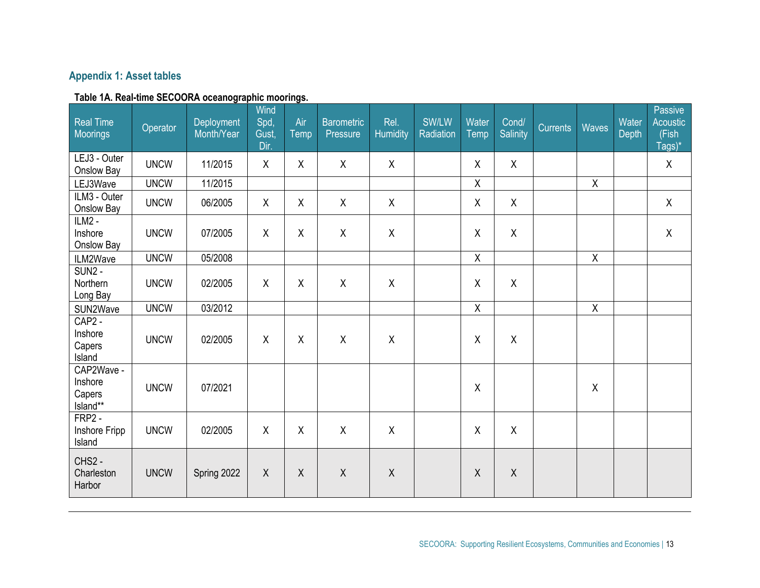## **Appendix 1: Asset tables**

### **Table 1A. Real-time SECOORA oceanographic moorings.**

| <b>Real Time</b><br><b>Moorings</b>         | Operator    | Deployment<br>Month/Year | Wind<br>Spd,<br>Gust,<br>Dir. | Air<br><b>Temp</b> | <b>Barometric</b><br>Pressure | Rel.<br>Humidity          | SW/LW<br>Radiation | <b>Water</b><br>Temp | Cond/<br><b>Salinity</b> | Currents | Waves        | Water<br>Depth | Passive<br>Acoustic<br>(Fish<br>Tags $)^*$ |
|---------------------------------------------|-------------|--------------------------|-------------------------------|--------------------|-------------------------------|---------------------------|--------------------|----------------------|--------------------------|----------|--------------|----------------|--------------------------------------------|
| LEJ3 - Outer<br>Onslow Bay                  | <b>UNCW</b> | 11/2015                  | X                             | X                  | X                             | $\sf X$                   |                    | X                    | $\sf X$                  |          |              |                | X                                          |
| LEJ3Wave                                    | <b>UNCW</b> | 11/2015                  |                               |                    |                               |                           |                    | $\mathsf{X}$         |                          |          | $\mathsf{X}$ |                |                                            |
| ILM3 - Outer<br>Onslow Bay                  | <b>UNCW</b> | 06/2005                  | $\mathsf{X}$                  | X                  | $\sf X$                       | $\boldsymbol{\mathsf{X}}$ |                    | $\sf X$              | $\sf X$                  |          |              |                | $\mathsf{X}$                               |
| ILM2 -<br>Inshore<br>Onslow Bay             | <b>UNCW</b> | 07/2005                  | $\mathsf{X}$                  | X                  | $\sf X$                       | $\sf X$                   |                    | X                    | $\sf X$                  |          |              |                | X                                          |
| ILM2Wave                                    | <b>UNCW</b> | 05/2008                  |                               |                    |                               |                           |                    | $\mathsf{X}$         |                          |          | $\mathsf{X}$ |                |                                            |
| <b>SUN2 -</b><br>Northern<br>Long Bay       | <b>UNCW</b> | 02/2005                  | $\mathsf{X}$                  | X                  | $\mathsf{X}$                  | Χ                         |                    | $\sf X$              | $\mathsf{X}$             |          |              |                |                                            |
| SUN2Wave                                    | <b>UNCW</b> | 03/2012                  |                               |                    |                               |                           |                    | Χ                    |                          |          | $\sf X$      |                |                                            |
| CAP2 -<br>Inshore<br>Capers<br>Island       | <b>UNCW</b> | 02/2005                  | $\mathsf{X}$                  | X                  | $\sf X$                       | X                         |                    | X                    | $\mathsf{X}$             |          |              |                |                                            |
| CAP2Wave -<br>Inshore<br>Capers<br>Island** | <b>UNCW</b> | 07/2021                  |                               |                    |                               |                           |                    | Χ                    |                          |          | X            |                |                                            |
| FRP2 -<br>Inshore Fripp<br>Island           | <b>UNCW</b> | 02/2005                  | $\mathsf{X}$                  | X                  | $\mathsf{X}$                  | $\sf X$                   |                    | $\sf X$              | $\mathsf{X}$             |          |              |                |                                            |
| CHS <sub>2</sub> -<br>Charleston<br>Harbor  | <b>UNCW</b> | Spring 2022              | $\mathsf{X}$                  | X                  | $\sf X$                       | $\sf X$                   |                    | Χ                    | $\sf X$                  |          |              |                |                                            |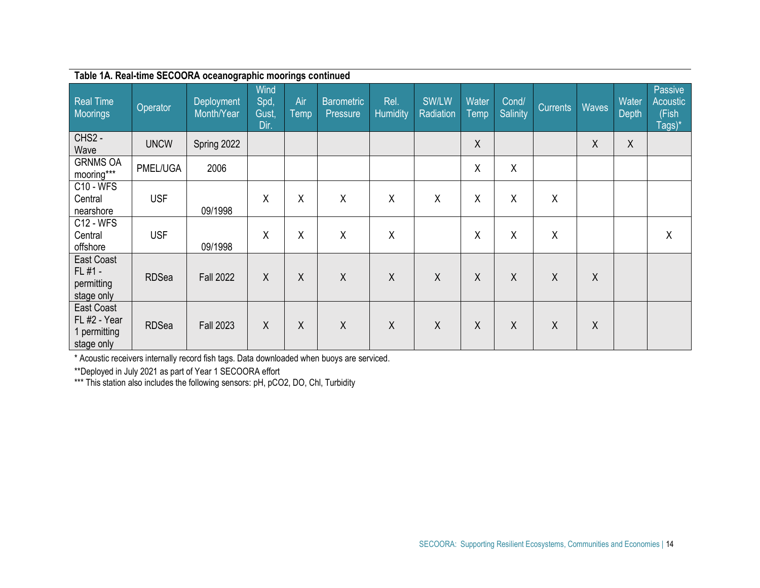|                                                          | Table 1A. Real-time SECOORA oceanographic moorings continued |                          |                                      |             |                                      |                         |                    |               |                          |                 |              |                |                                               |
|----------------------------------------------------------|--------------------------------------------------------------|--------------------------|--------------------------------------|-------------|--------------------------------------|-------------------------|--------------------|---------------|--------------------------|-----------------|--------------|----------------|-----------------------------------------------|
| <b>Real Time</b><br><b>Moorings</b>                      | Operator                                                     | Deployment<br>Month/Year | <b>Wind</b><br>Spd,<br>Gust,<br>Dir. | Air<br>Temp | <b>Barometric</b><br><b>Pressure</b> | Rel.<br><b>Humidity</b> | SW/LW<br>Radiation | Water<br>Temp | Cond/<br><b>Salinity</b> | <b>Currents</b> | <b>Waves</b> | Water<br>Depth | Passive<br><b>Acoustic</b><br>(Fish<br>Tags)* |
| CHS <sub>2</sub> -<br>Wave                               | <b>UNCW</b>                                                  | Spring 2022              |                                      |             |                                      |                         |                    | X             |                          |                 | Χ            | X              |                                               |
| <b>GRNMS OA</b><br>mooring***                            | PMEL/UGA                                                     | 2006                     |                                      |             |                                      |                         |                    | Χ             | Χ                        |                 |              |                |                                               |
| <b>C10 - WFS</b><br>Central<br>nearshore                 | <b>USF</b>                                                   | 09/1998                  | X                                    | Χ           | X                                    | Χ                       | Χ                  | X             | Χ                        | X               |              |                |                                               |
| <b>C12 - WFS</b><br>Central<br>offshore                  | <b>USF</b>                                                   | 09/1998                  | X                                    | X           | X                                    | Χ                       |                    | Χ             | X                        | Χ               |              |                | X                                             |
| East Coast<br>FL #1 -<br>permitting<br>stage only        | <b>RDSea</b>                                                 | <b>Fall 2022</b>         | $\sf X$                              | Χ           | $\sf X$                              | X                       | Χ                  | X             | $\sf X$                  | X               | Χ            |                |                                               |
| East Coast<br>FL #2 - Year<br>1 permitting<br>stage only | <b>RDSea</b>                                                 | <b>Fall 2023</b>         | $\sf X$                              | Χ           | $\sf X$                              | X                       | Χ                  | X             | $\sf X$                  | X               | X            |                |                                               |

\* Acoustic receivers internally record fish tags. Data downloaded when buoys are serviced.

\*\*Deployed in July 2021 as part of Year 1 SECOORA effort

\*\*\* This station also includes the following sensors: pH, pCO2, DO, Chl, Turbidity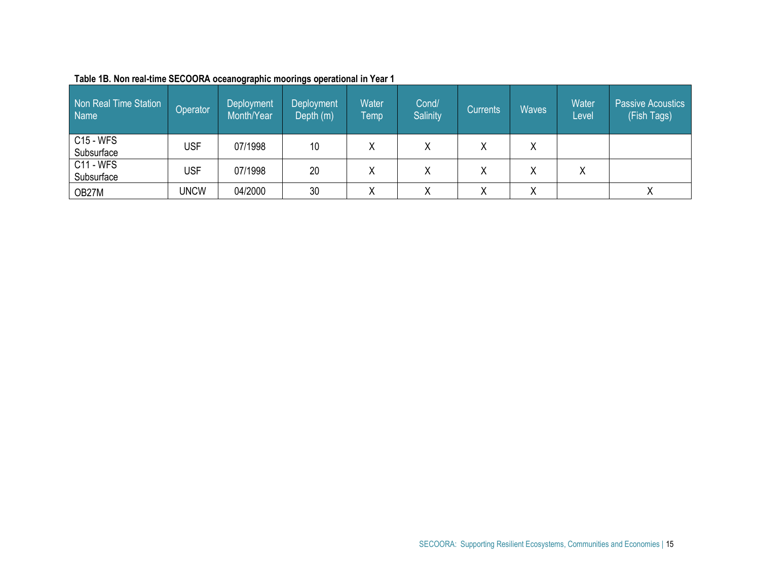| Non Real Time Station<br><b>Name</b> | Operator    | Deployment<br>Month/Year | <b>Deployment</b><br>Depth $(m)$ | Water<br><b>Temp</b> | Cond/<br><b>Salinity</b> | <b>Currents</b> | <b>Waves</b> | Water<br>Level | <b>Passive Acoustics</b><br>(Fish Tags) |
|--------------------------------------|-------------|--------------------------|----------------------------------|----------------------|--------------------------|-----------------|--------------|----------------|-----------------------------------------|
| <b>C15 - WFS</b><br>Subsurface       | <b>USF</b>  | 07/1998                  | 10                               | Χ                    |                          | Χ               | Χ            |                |                                         |
| <b>C11 - WFS</b><br>Subsurface       | <b>USF</b>  | 07/1998                  | 20                               | Χ                    |                          | Χ               | Χ            | v              |                                         |
| OB27M                                | <b>UNCW</b> | 04/2000                  | 30                               | Χ                    | v                        | Χ               | χ            |                |                                         |

### **Table 1B. Non real-time SECOORA oceanographic moorings operational in Year 1**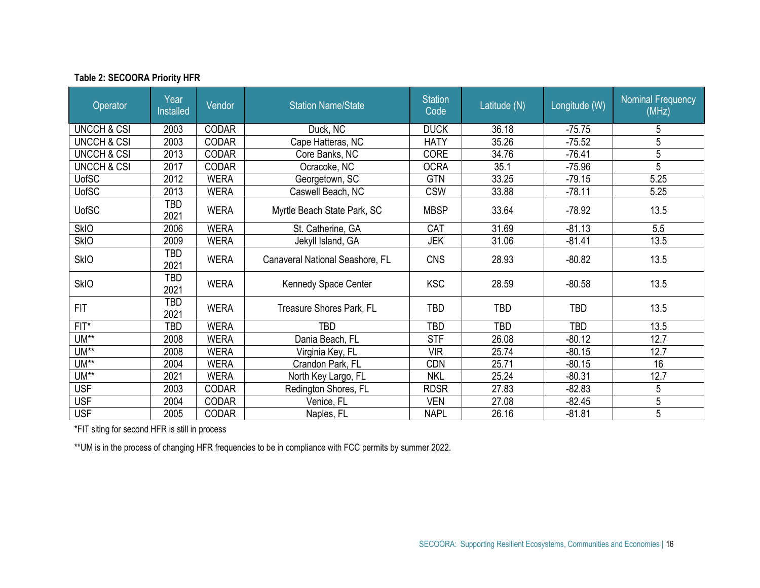### **Table 2: SECOORA Priority HFR**

| Operator               | Year<br><b>Installed</b> | Vendor       | <b>Station Name/State</b>       | <b>Station</b><br>Code | Latitude (N) | Longitude (W) | <b>Nominal Frequency</b><br>(MHz) |
|------------------------|--------------------------|--------------|---------------------------------|------------------------|--------------|---------------|-----------------------------------|
| <b>UNCCH &amp; CSI</b> | 2003                     | CODAR        | Duck, NC                        | <b>DUCK</b>            | 36.18        | $-75.75$      | 5                                 |
| <b>UNCCH &amp; CSI</b> | 2003                     | <b>CODAR</b> | Cape Hatteras, NC               | <b>HATY</b>            | 35.26        | $-75.52$      | 5                                 |
| <b>UNCCH &amp; CSI</b> | 2013                     | <b>CODAR</b> | Core Banks, NC                  | CORE                   | 34.76        | $-76.41$      | $\overline{5}$                    |
| <b>UNCCH &amp; CSI</b> | 2017                     | <b>CODAR</b> | Ocracoke, NC                    | <b>OCRA</b>            | 35.1         | $-75.96$      | 5                                 |
| <b>UofSC</b>           | 2012                     | <b>WERA</b>  | Georgetown, SC                  | <b>GTN</b>             | 33.25        | $-79.15$      | 5.25                              |
| <b>UofSC</b>           | 2013                     | <b>WERA</b>  | Caswell Beach, NC               | <b>CSW</b>             | 33.88        | $-78.11$      | 5.25                              |
| <b>UofSC</b>           | TBD<br>2021              | <b>WERA</b>  | Myrtle Beach State Park, SC     | <b>MBSP</b>            | 33.64        | $-78.92$      | 13.5                              |
| <b>SkIO</b>            | 2006                     | <b>WERA</b>  | St. Catherine, GA               | CAT                    | 31.69        | $-81.13$      | 5.5                               |
| <b>SkIO</b>            | 2009                     | <b>WERA</b>  | Jekyll Island, GA               | <b>JEK</b>             | 31.06        | $-81.41$      | 13.5                              |
| <b>SkIO</b>            | TBD<br>2021              | <b>WERA</b>  | Canaveral National Seashore, FL | <b>CNS</b>             | 28.93        | $-80.82$      | 13.5                              |
| <b>SkIO</b>            | <b>TBD</b><br>2021       | <b>WERA</b>  | Kennedy Space Center            | <b>KSC</b>             | 28.59        | $-80.58$      | 13.5                              |
| <b>FIT</b>             | TBD<br>2021              | <b>WERA</b>  | Treasure Shores Park, FL        | TBD                    | TBD          | TBD           | 13.5                              |
| $FIT*$                 | <b>TBD</b>               | <b>WERA</b>  | <b>TBD</b>                      | <b>TBD</b>             | <b>TBD</b>   | <b>TBD</b>    | 13.5                              |
| $UM**$                 | 2008                     | <b>WERA</b>  | Dania Beach, FL                 | <b>STF</b>             | 26.08        | $-80.12$      | 12.7                              |
| $UM**$                 | 2008                     | WERA         | Virginia Key, FL                | <b>VIR</b>             | 25.74        | $-80.15$      | 12.7                              |
| $UN**$                 | 2004                     | <b>WERA</b>  | Crandon Park, FL                | <b>CDN</b>             | 25.71        | $-80.15$      | 16                                |
| $UM**$                 | 2021                     | <b>WERA</b>  | North Key Largo, FL             | <b>NKL</b>             | 25.24        | $-80.31$      | 12.7                              |
| <b>USF</b>             | 2003                     | CODAR        | Redington Shores, FL            | <b>RDSR</b>            | 27.83        | $-82.83$      | 5                                 |
| <b>USF</b>             | 2004                     | CODAR        | Venice, FL                      | <b>VEN</b>             | 27.08        | $-82.45$      | $\overline{5}$                    |
| <b>USF</b>             | 2005                     | <b>CODAR</b> | Naples, FL                      | <b>NAPL</b>            | 26.16        | $-81.81$      | 5                                 |

\*FIT siting for second HFR is still in process

\*\*UM is in the process of changing HFR frequencies to be in compliance with FCC permits by summer 2022.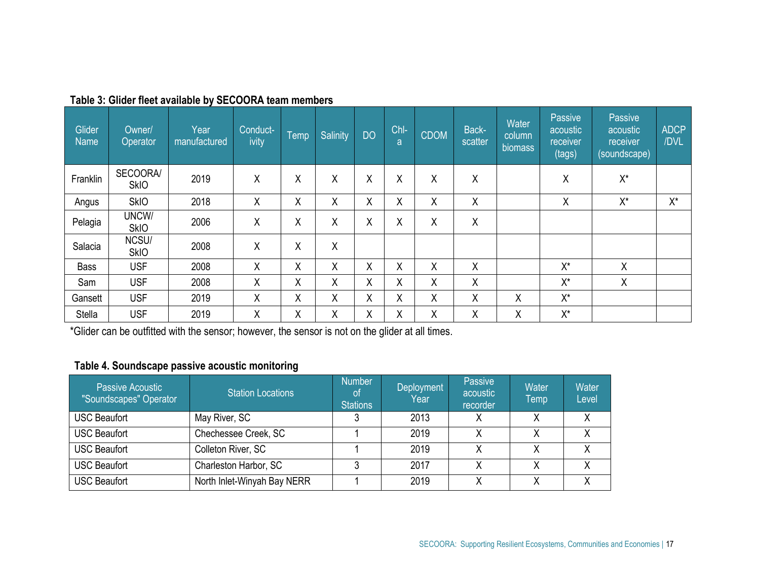| Glider<br><b>Name</b> | Owner/<br>Operator             | Year<br>manufactured | Conduct-<br>ivity | <b>Temp</b> | <b>Salinity</b> | <b>DO</b> | Chl-<br>la' | <b>CDOM</b> | Back-<br>scatter | Water<br>column<br>biomass | Passive<br>acoustic<br>receiver<br>(tags) | Passive<br>acoustic<br>receiver<br>(soundscape) | <b>ADCP</b><br>/DVL |
|-----------------------|--------------------------------|----------------------|-------------------|-------------|-----------------|-----------|-------------|-------------|------------------|----------------------------|-------------------------------------------|-------------------------------------------------|---------------------|
| Franklin              | <b>SECOORA/</b><br><b>SkIO</b> | 2019                 | Χ                 | Χ           | Χ               | Χ         | Χ           | Χ           | Χ                |                            | Χ                                         | $\mathsf{X}^\star$                              |                     |
| Angus                 | <b>SkIO</b>                    | 2018                 | Χ                 | χ           | Χ               | χ         | Χ           | χ           | Χ                |                            | Χ                                         | $X^*$                                           | $\mathsf{X}^\star$  |
| Pelagia               | UNCW/<br><b>SkIO</b>           | 2006                 | X                 | Χ           | Χ               | Χ         | X           | Χ           | Χ                |                            |                                           |                                                 |                     |
| Salacia               | NCSU/<br><b>SkIO</b>           | 2008                 | X                 | Χ           | Χ               |           |             |             |                  |                            |                                           |                                                 |                     |
| <b>Bass</b>           | <b>USF</b>                     | 2008                 | χ                 | χ           | Χ               | Χ         | Χ           | Χ           | Χ                |                            | $X^*$                                     | Χ                                               |                     |
| Sam                   | <b>USF</b>                     | 2008                 | χ                 | Χ           | Χ               | Χ         | Χ           | χ           | Χ                |                            | $X^*$                                     | Χ                                               |                     |
| Gansett               | <b>USF</b>                     | 2019                 | Χ                 | χ           | Χ               | χ         | Χ           | χ           | Χ                | χ                          | $X^*$                                     |                                                 |                     |
| Stella                | <b>USF</b>                     | 2019                 | χ                 | Χ           | χ               | χ         | Χ           | χ           | Χ                | χ                          | $X^*$                                     |                                                 |                     |

## **Table 3: Glider fleet available by SECOORA team members**

\*Glider can be outfitted with the sensor; however, the sensor is not on the glider at all times.

## **Table 4. Soundscape passive acoustic monitoring**

| Passive Acoustic<br>"Soundscapes" Operator | <b>Station Locations</b>    | <b>Number</b><br>οf<br><b>Stations</b> | <b>Deployment</b><br>Year | Passive<br>acoustic<br>recorder | Water<br>Temp | Water<br>Level |
|--------------------------------------------|-----------------------------|----------------------------------------|---------------------------|---------------------------------|---------------|----------------|
| <b>USC Beaufort</b>                        | May River, SC               |                                        | 2013                      |                                 |               | v              |
| <b>USC Beaufort</b>                        | Chechessee Creek, SC        |                                        | 2019                      |                                 |               |                |
| <b>USC Beaufort</b>                        | Colleton River, SC          |                                        | 2019                      |                                 |               | X              |
| <b>USC Beaufort</b>                        | Charleston Harbor, SC       |                                        | 2017                      |                                 |               |                |
| <b>USC Beaufort</b>                        | North Inlet-Winyah Bay NERR |                                        | 2019                      |                                 |               |                |